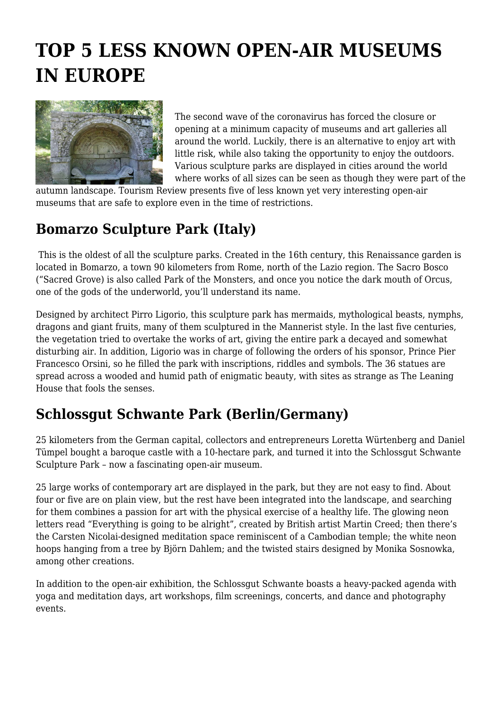# **TOP 5 LESS KNOWN OPEN-AIR MUSEUMS IN EUROPE**



The second wave of the coronavirus has forced the closure or opening at a minimum capacity of museums and art galleries all around the world. Luckily, there is an alternative to enjoy art with little risk, while also taking the opportunity to enjoy the outdoors. Various sculpture parks are displayed in cities around the world where works of all sizes can be seen as though they were part of the

autumn landscape. Tourism Review presents five of less known yet very interesting open-air museums that are safe to explore even in the time of restrictions.

#### **Bomarzo Sculpture Park (Italy)**

 This is the oldest of all the sculpture parks. Created in the 16th century, this Renaissance garden is located in Bomarzo, a town 90 kilometers from Rome, north of the Lazio region. The Sacro Bosco ("Sacred Grove) is also called Park of the Monsters, and once you notice the dark mouth of Orcus, one of the gods of the underworld, you'll understand its name.

Designed by architect Pirro Ligorio, this sculpture park has mermaids, mythological beasts, nymphs, dragons and giant fruits, many of them sculptured in the Mannerist style. In the last five centuries, the vegetation tried to overtake the works of art, giving the entire park a decayed and somewhat disturbing air. In addition, Ligorio was in charge of following the orders of his sponsor, Prince Pier Francesco Orsini, so he filled the park with inscriptions, riddles and symbols. The 36 statues are spread across a wooded and humid path of enigmatic beauty, with sites as strange as The Leaning House that fools the senses.

### **Schlossgut Schwante Park (Berlin/Germany)**

25 kilometers from the German capital, collectors and entrepreneurs Loretta Würtenberg and Daniel Tümpel bought a baroque castle with a 10-hectare park, and turned it into the Schlossgut Schwante Sculpture Park – now a fascinating open-air museum.

25 large works of contemporary art are displayed in the park, but they are not easy to find. About four or five are on plain view, but the rest have been integrated into the landscape, and searching for them combines a passion for art with the physical exercise of a healthy life. The glowing neon letters read "Everything is going to be alright", created by British artist Martin Creed; then there's the Carsten Nicolai-designed meditation space reminiscent of a Cambodian temple; the white neon hoops hanging from a tree by Björn Dahlem; and the twisted stairs designed by Monika Sosnowka, among other creations.

In addition to the open-air exhibition, the Schlossgut Schwante boasts a heavy-packed agenda with yoga and meditation days, art workshops, film screenings, concerts, and dance and photography events.